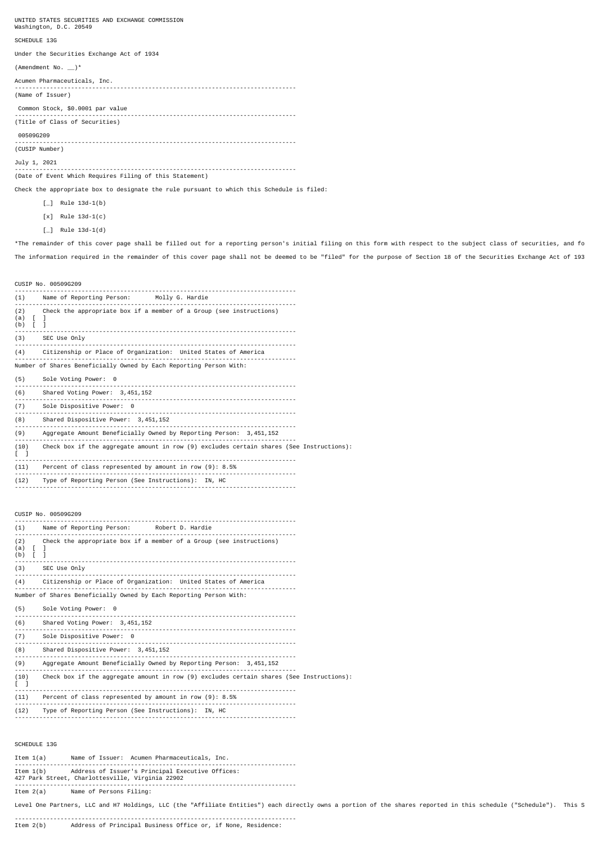UNITED STATES SECURITIES AND EXCHANGE COMMISSION Washington, D.C. 20549

### SCHEDULE 13G

Under the Securities Exchange Act of 1934

(Amendment No.  $\Box$ )\*

Acumen Pharmaceuticals, Inc.

-------------------------------------------------------------------------------- (Name of Issuer)

 Common Stock, \$0.0001 par value -------------------------------------------------------------------------------- (Title of Class of Securities)

## 00509G209

-------------------------------------------------------------------------------- (CUSIP Number)

# July 1, 2021

--------------------------------------------------------------------------------

(Date of Event Which Requires Filing of this Statement)

Check the appropriate box to designate the rule pursuant to which this Schedule is filed:

- $[\ ]$  Rule 13d-1(b)
- [x] Rule 13d-1(c)
- $[\_]$  Rule 13d-1(d)

\*The remainder of this cover page shall be filled out for a reporting person's initial filing on this form with respect to the subject class of securities, and fo The information required in the remainder of this cover page shall not be deemed to be "filed" for the purpose of Section 18 of the Securities Exchange Act of 193

| CUSIP No. 00509G209                                                                                                                    |
|----------------------------------------------------------------------------------------------------------------------------------------|
| (1) Name of Reporting Person: Molly G. Hardie<br>--------------------------                                                            |
| (2) Check the appropriate box if a member of a Group (see instructions)<br>$(a)$ [ ]<br>$(b)$ [ ]<br>.                                 |
| (3) SEC Use Only                                                                                                                       |
| (4) Citizenship or Place of Organization: United States of America                                                                     |
| Number of Shares Beneficially Owned by Each Reporting Person With:                                                                     |
| (5) Sole Voting Power: 0                                                                                                               |
| (6) Shared Voting Power: 3,451,152                                                                                                     |
| (7) Sole Dispositive Power: 0                                                                                                          |
| (8) Shared Dispositive Power: 3,451,152                                                                                                |
| (9) Aggregate Amount Beneficially Owned by Reporting Person: 3,451,152                                                                 |
| (10) Check box if the aggregate amount in row (9) excludes certain shares (See Instructions):<br>$\begin{bmatrix} 1 \end{bmatrix}$     |
| $(11)$ Percent of class represented by amount in row $(9)$ : 8.5%                                                                      |
| (12) Type of Reporting Person (See Instructions): IN, HC                                                                               |
| CUSIP No. 00509G209<br>(1) Name of Reporting Person: Robert D. Hardie                                                                  |
| Check the appropriate box if a member of a Group (see instructions)<br>(2)<br>$(a)$ [ ]<br>$(b)$ $[$ $]$<br>.                          |
| (3) SEC Use Only                                                                                                                       |
| (4) Citizenship or Place of Organization: United States of America                                                                     |
| Number of Shares Beneficially Owned by Each Reporting Person With:                                                                     |
| (5) Sole Voting Power: 0                                                                                                               |
| (6) Shared Voting Power: 3,451,152                                                                                                     |
| (7) Sole Dispositive Power: 0                                                                                                          |
| (8) Shared Dispositive Power: 3,451,152                                                                                                |
| (9) Aggregate Amount Beneficially Owned by Reporting Person: 3,451,152                                                                 |
| (10) Check box if the aggregate amount in row (9) excludes certain shares (See Instructions):<br>$\begin{bmatrix} 1 & 1 \end{bmatrix}$ |
| (11) Percent of class represented by amount in row (9): 8.5%<br>.                                                                      |
| (12) Type of Reporting Person (See Instructions): IN, HC                                                                               |

## SCHEDULE 13G

Item 1(a) Name of Issuer: Acumen Pharmaceuticals, Inc. -------------------------------------------------------------------------------- Item 1(b) Address of Issuer's Principal Executive Offices: 427 Park Street, Charlottesville, Virginia 22902 -------------------------------------------------------------------------------- Name of Persons Filing:

Level One Partners, LLC and H7 Holdings, LLC (the "Affiliate Entities") each directly owns a portion of the shares reported in this schedule ("Schedule"). This S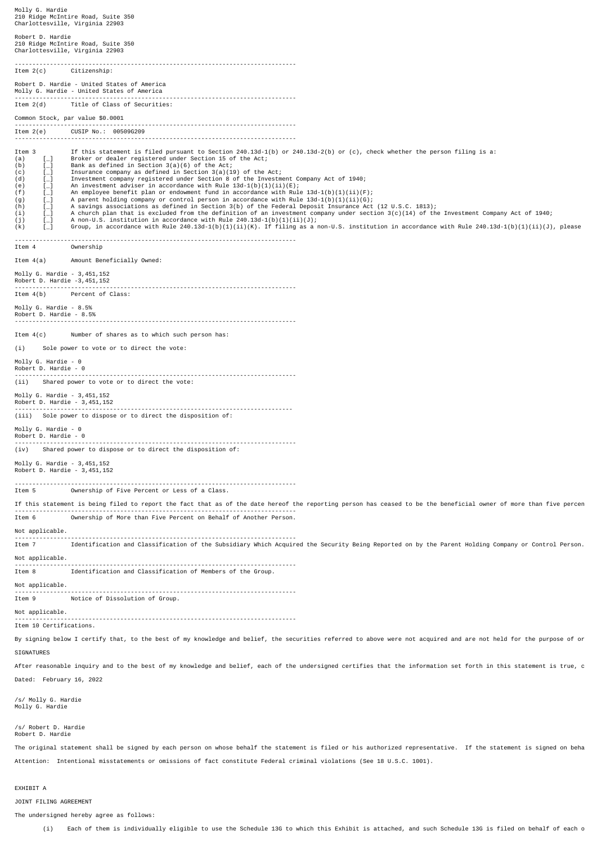Molly G. Hardie 210 Ridge McIntire Road, Suite 350 Charlottesville, Virginia 22903 Robert D. Hardie 210 Ridge McIntire Road, Suite 350 Charlottesville, Virginia 22903 -------------------------------------------------------------------------------- Item 2(c) Citizenship: Robert D. Hardie - United States of America Molly G. Hardie - United States of America -------------------------------------------------------------------------------- Item 2(d) Title of Class of Securities: Common Stock, par value \$0.0001 -------------------------------------------------------------------------------- CUSIP No.: 00509G209 -------------------------------------------------------------------------------- Item 3 If this statement is filed pursuant to Section 240.13d-1(b) or 240.13d-2(b) or (c), check whether the person filing is a:<br>
(b) [\_] Broker or dealer registered under Section 15 of the Act;<br>
(c) [\_] Insurance company [\_] Broker or dealer registered under Section 15 of the Act;<br>[\_] Bank as defined in Section 3(a)(6) of the Act;<br>[\_] Insurance company as defined in Section 3(a)(19) of the (b) [\_] Bank as defined in Section 3(a)(6) of the Act; (c) [\_] Insurance company as defined in Section 3(a)(19) of the Act; (d) [\_] Investment company registered under Section 8 of the Investment Company Act of 1940;<br>(e) [\_] An investment adviser in accordance with Rule 13d-1(b)(1)(ii)(E);<br>(f) [\_] An employee benefit plan or endowment fund in a (i) [\_] A church plan that is excluded from the definition of an investment company under section 3(c)(14) of the Investment Company Act of 1940;<br>(j) [\_] A non-U.S. institution in accordance with Rule 240.13d-1(b)(1)ii)(J) -------------------------------------------------------------------------------- Item 4 Ownership Item 4(a) Amount Beneficially Owned: Molly G. Hardie - 3,451,152 Robert D. Hardie -3,451,152 -------------------------------------------------------------------------------- Item 4(b) Percent of Class: Molly G. Hardie - 8.5% Robert D. Hardie - 8.5% -------------------------------------------------------------------------------- Item 4(c) Number of shares as to which such person has: (i) Sole power to vote or to direct the vote: Molly G. Hardie - 0 Robert D. Hardie - 0 -------------------------------------------------------------------------------- (ii) Shared power to vote or to direct the vote: Molly G. Hardie - 3,451,152 Robert D. Hardie - 3,451,152 ------------------------------------------------------------------------------- (iii) Sole power to dispose or to direct the disposition of: Molly G. Hardie - 0 Robert D. Hardie - 0 -------------------------------------------------------------------------------- (iv) Shared power to dispose or to direct the disposition of: Molly G. Hardie - 3,451,152 Robert D. Hardie - 3,451,152 -------------------------------------------------------------------------------- Item 5 Ownership of Five Percent or Less of a Class. If this statement is being filed to report the fact that as of the date hereof the reporting person has ceased to be the beneficial owner of more than five percen -------------------------------------------------------------------------------- Item 6 Ownership of More than Five Percent on Behalf of Another Person. Not applicable. -------------------------------------------------------------------------------- Item 7 Identification and Classification of the Subsidiary Which Acquired the Security Being Reported on by the Parent Holding Company or Control Person. Not applicable. -------------------------------------------------------------------------------- Item 8 Identification and Classification of Members of the Group. Not applicable. -------------------------------------------------------------------------------- Notice of Dissolution of Group. Not applicable.  $-$ Item 10 Certifications. By signing below I certify that, to the best of my knowledge and belief, the securities referred to above were not acquired and are not held for the purpose of or **STGNATURES** After reasonable inquiry and to the best of my knowledge and belief, each of the undersigned certifies that the information set forth in this statement is true, c Dated: February 16, 2022 /s/ Molly G. Hardie Molly G. Hardie /s/ Robert D. Hardie Robert D. Hardie

The original statement shall be signed by each person on whose behalf the statement is filed or his authorized representative. If the statement is signed on beha Attention: Intentional misstatements or omissions of fact constitute Federal criminal violations (See 18 U.S.C. 1001).

## EXHTRTT A

JOINT FILING AGREEMENT

The undersigned hereby agree as follows:

(i) Each of them is individually eligible to use the Schedule 13G to which this Exhibit is attached, and such Schedule 13G is filed on behalf of each o